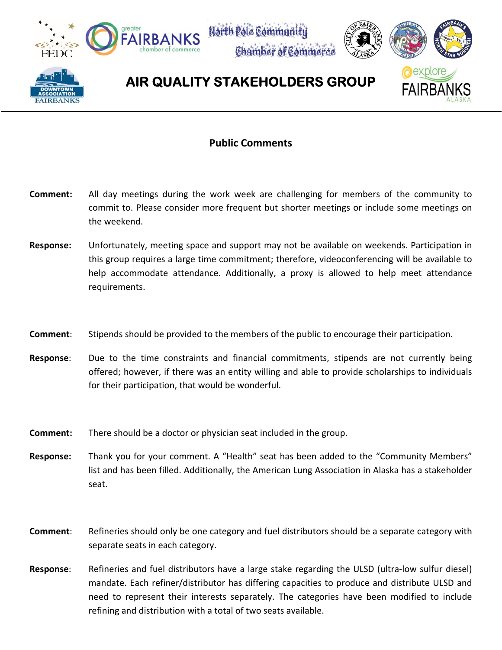





## **AIR QUALITY STAKEHOLDERS GROUP**

## **Public Comments**

- **Comment:** All day meetings during the work week are challenging for members of the community to commit to. Please consider more frequent but shorter meetings or include some meetings on the weekend.
- **Response:**  Unfortunately, meeting space and support may not be available on weekends. Participation in this group requires a large time commitment; therefore, videoconferencing will be available to help accommodate attendance. Additionally, a proxy is allowed to help meet attendance requirements.
- **Comment**: Stipends should be provided to the members of the public to encourage their participation.
- **Response:** Due to the time constraints and financial commitments, stipends are not currently being offered; however, if there was an entity willing and able to provide scholarships to individuals for their participation, that would be wonderful.
- **Comment:** There should be a doctor or physician seat included in the group.
- **Response:** Thank you for your comment. A "Health" seat has been added to the "Community Members" list and has been filled. Additionally, the American Lung Association in Alaska has a stakeholder seat.
- **Comment**: Refineries should only be one category and fuel distributors should be a separate category with separate seats in each category.
- **Response:** Refineries and fuel distributors have a large stake regarding the ULSD (ultra-low sulfur diesel) mandate. Each refiner/distributor has differing capacities to produce and distribute ULSD and need to represent their interests separately. The categories have been modified to include refining and distribution with a total of two seats available.